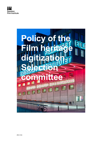

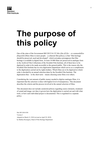

# The purpose of this policy

One of the aims of the Government Bill 2015/16:132 Mer film till fler – en sammanhållen *filmpolitik* [More films to more people – a coherent film policy], is that "film heritage" should be preserved, used and developed", which nowadays presupposes that film heritage is available in digital form. At least 10 000 films are preserved in analogue form in the Archival Film Collections of the Swedish Film Institute; all of them have to be digitized in order to be made accessible to the general public. This is the reason why the Swedish Film Institute has its own digitization department which serves as a complement to the digitization carried out by rights holders. Which films are to be digitized in which order is decided by an annual selection done by the Swedish Film Institute. The digitization thus – in the short term – means choosing some films over others.

Considering the vast amount of public money needed to digitize analogue films, it is important that the selection is done with highest level of transparency. This document describes the criteria and the process involved in the annual selection of films.

This document does not include curatorial policies regarding source elements, treatment of sound and image; nor does it govern how the digitization is carried out and with what tools, or how each individual project is documented. This is regulated in a separate policy.

Dnr SFI-2018-930 Version 3 Adopted on March 12, 2018 (revised on April 29, 2019) by Mathias Rosengren, Head of Film Heritage Department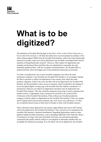

### What is to be digitized?

The definition of Swedish film heritage in the Policy of the Archival Film Collections of the Swedish Film Institute is "all films that either have received production subsidy or box office-related support (PRS) from the Swedish Film Institute, and/or have been theatrically released in Sweden, and/or have been submitted to the Swedish censorship board with the intention of being theatrically released". However, films subject for digitization also includes non-theatrical films and films thus not submitted for censorship, but only nationally produced films, with the exceptions mentioned below. By Swedish films is understood films where the biggest part of the production financing was Swedish.

For films co-produced by one or more Swedish companies, but where the main production company is non-Swedish, the Swedish Film Institute is to investigate whether the film in question is subject for digitization in the country from which the main producer originates. If this is the case, the film will not be digitized by the Swedish Film Institute, but the possibility to have access to elements which would allow the making of an un-encrypted digital viewing copy with Swedish sub-titles shall be considered. Coproductions which are not subject for digitization elsewhere may be digitized by the Swedish Film Institute. This may entail the temporary borrowing of source elements from another archive, if appropriate source elements are not held in the Archival Film Collections of the Swedish Film Institute. Films without any Swedish production company could be subject to digitization by the Swedish Film Institute, if they are unique, and if original and/or preservation elements only exist in our own collections, or if they are of national interest (such as films shot in Sweden or films with Swedish creators).

Films which have been digitized by for instance rights holders and exist in DCP format will not be digitized by the Swedish Film Institute. They can however be included in the Swedish Film Institute's theatrical distribution. Regarding digitizations made by other publicly funded Swedish institutions, such as Kungliga biblioteket [The National Library of Sweden] or Sveriges Television [Swedish Television, the national broadcasting corporation] the quality shall be subject to investigation to determine whether they are acceptable for theatrical screenings. If so, the films will not be digitized by the Swedish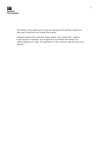

Film Institute. If the quality however does not correspond to the analogue original, the films may be digitized by the Swedish Film Institute.

Analogue elements in the collections of poor quality, such as nitrate films, magnetic sound elements or videotapes, may be digitized by the Swedish Film Institute, but without making access copies. The digitization is in these instances made for preservation purposes.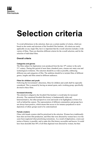### Selection criteria

To avoid arbitrariness in the selection, there are a certain number of criteria, which are based on the remits and missions of the Swedish Film Institute. All criteria are rarely applicable on any single film, but it is important that the overall selection includes a wide variety of films. There are therefore different criteria for the overall selection, and for the selection of individual films.

#### Overall criteria

#### Categories and genres

The films subject for digitization were produced from the late  $19<sup>th</sup>$  century to the early 21<sup>st</sup> century. During this period of more than a hundred years, cinema saw many eras and technological evolutions. The selection should be as wide as possible, embracing different eras and categories of film. The ambition should be to include films of different genres, lengths and films aimed at different audiences.

#### Films for children and youth

Following the Government's directions, films for children and youth shall be especially considered. This is ensured by having an annual quota, and a working group, specifically devoted to these films.

#### Increased diversity

The selection is aligned to the Swedish Film Institute's overall plan for increased diversity. The canonized Swedish film history is fundamentally white and heteronormative, but other perspectives exist and needs to be highlighted, in front of as well as behind the camera. The representation of different communities and groups have not always been positive, which means that access to for instance prejudiced or racist depictions of ethnic groups need to be contextualized.

#### Female creators

Films with female creators shall be prioritized in the selection. Women have traditionally been shut out from film production, and films that were directed by women have over the years been neglected when prioritizing restorations. As a result of digitization, a more just notion of history is possible, and to make this film history accessible and known. It would have been desirable that 50% of all films digitized were directed by women, but then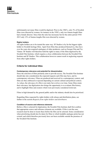

unfortunately not many films would be digitized. Prior to the 1960's, only 3% of Swedish films were directed by women; for instance in the 1950's, only two feature-length films had a female director. Since then the ratio has increased, but for the entire period 1910- 2015 only 12% of feature-lengths film were directed by women.

#### Rights holders

All rights holders are to be treated the same way. SF Studios is by far the biggest rights holder to Swedish heritage films. Apart from films they produced themselves, they have over the years also acquired catalogues of other producers, such as Europa Film and Tre Vänner. SF Studios will therefore hold the rights to many of the films digitized by the Swedish Film Institute, which requires a close collaboration between the Swedish Film Institute and SF Studios. This collaboration however cannot result in neglecting requests from other rights holders.

#### Criteria for individual titles

#### Contemporary relevance and potential for dissemination

Since the selection of films primarily aims to provide access, The Swedish Film Institute should take into consideration the expected requests each film may have, and its contemporary relevance. Films are produced and received in a contemporary context, and films are thus embraced or rejected depending on current cultural and political context. As values, the relevance of a film is not static but evolves over time. Some films retain their relevance, but digitization also brings the opportunity to re-evaluate film history, and to highlight films and creators which were previously considered irrelevant.

Films in high demand by the general public and/or the industry should also be prioritized.

Regarding films requested by rights holders with release and distribution plans, see further in the section Requests from rights holders and distributors.

#### Condition of source and reference elements

Before a film is selected for digitization, the Swedish Film Institute shall first confirm that appropriate source and reference elements are available. If this is not the case, research must be done to locate these before the film can be selected. Some consideration when prioritizing should also be taken for films to which lendable analogue prints has not existed, and which therefore previously have not been available outside the premises of the Swedish Film Institute.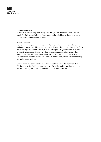### Swedish **Film Institute**

#### Current availability

Films which are currently made easily available (in correct versions) for the general public, by for instance VoD providers, should not be prioritized to the same extent as films which are more difficult to access.

#### Rights situation

Before a film is suggested for inclusion in the annual selection for digitization, a preliminary study to establish the current rights situation should be conducted. For films where the rights situation is unclear, a more thorough investigation should be carried out in order to establish a rights holder. Films with confirmed rights holders but where underlying rights (mainly literary sources) have expired are currently not to be selected for digitization, since these films are blocked as neither the rights holders nor any entity can authorize screenings.

Orphan works can be included in the selection, as they – since the implementation of a EU directive in Swedish legislation 2014 – can be made available on-line. In order to declare a film orphan, a due diligent search must be undertaken first.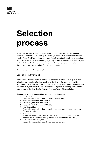

# Selection process

The annual selection of films to be digitized is formally taken by the Swedish Film Institute's Head of the Film Heritage department, in consultation with the department's Heads of unit. The Head of the department and the Heads of unit are also in charge of the work carried out by the nine working groups, responsible for different criteria and aspects of the selection. The Head of the unit Access to Film Heritage is responsible for the documentation and co-ordination of the selection process.

An annual agenda of the process is listed in appendix 2.

#### Criteria for individual titles

There are no set quotas for the selection. The quotas are established year by year, and takes into consideration what has overall been digitized so far, and if any specific technological aspects exist which will influence the coming year's quotas. Before making the annual plan, consideration shall also be taken to digitization made by others, and the total amount of digitized Swedish heritage films available in high resolution.

#### Quotas and working groups, films selected on basis of titles

- 1. Silent films
	- Feature-length and short films. Fiction and non-fiction.
- 2. Feature-length fiction films 1930-59
- 3. Feature-length fiction films 1960-79
- 4. Feature-length fiction films 1980-2010
- 5. Non-fiction films Feature-length and short films; including news-reels and home movies. Sound films exclusively.
- 6. Short films Fiction, experimental and advertising films. Short non-fiction and films for children and youth are covered by other quotas. Sound films exclusively.
- 7. Films for children and youth Feature-length and short films. Sound films exclusively.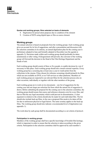

#### Quotas and working groups, films selected on basis of elements

- 8. Digitization for preservation purposes due to condition of the element
- 9. Creation of DCPs using digital tapes or files as source element

#### Working groups

The annual selection is based on proposals from the working groups. Each working group gives an account for its list of suggestions, and after a presentation and discussion with the selection committee in its entirety, an annual digitization plan for the coming year is preliminary adopted in June and formally adopted in December (see the agenda in appendix 2). Decisions made within each working group should preferably be taken unanimously or after voting. If disagreement still prevails, the convenor of the working group will forward the decision to the Head of the Film Heritage Department and the Heads of unit.

Each working group should consist of three or five people, to enable decisions by vote if necessary to take place. Each working group should also consult external expertise. Every working group has a screening day at least once a year to watch prints from the collections in the cinema. Films chosen for reference screenings should primarily be films which are not available on DVD, or on VoD services or other platforms. Members of each working group are expected to see relevant films for the selection process also on other occasions, individually or together with the other members of the group.

Each working group are to work on two documents – one list of suggestions for the coming year and one larger pre-selection list from which the annual list of suggestion is drawn. Before submitting the proposal for the coming year to the selection committee, the working group should ensure that source and reference elements exist for every film, and that no film has any legal uncertainty which could prevent its dissemination. A clear argument in relation to the criteria should also be made for each individual film. The list should also include back-up films, in the case a proposed film needs to be taken off the list due to unforeseen physical or legal factors. The same scrutiny applies to the back-up films. The working group should also indicate a recommended level of digitization (see appendix 1).

The work done by each group shall be documented according to a set criteria of protocol.

#### Participation in working groups

Members of the working groups shall have specific knowledge of Swedish film heritage, which is important in order to ensure that the selection is taken according to the given criteria. Participation in the selection committee shall be approved by each member's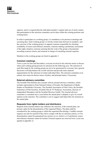

superior, and it is required that the individual member's regular tasks are of such a nature that participation in the selection committee can be done within the existing positions and working hours.

In order to participate in a working group, it is mandatory to be present at meetings and screening days. Each working group is to divide certain tasks between its members, and the convenor of the working group is to appoint someone responsible for checking availability of source and reference elements; someone making a preliminary assessment of the rights situation; someone ensuring that the work of the group is documented according to preset criteria, and someone in charge of consulting external expertise.

Members in the working groups are listed in appendix 3.

#### Common meetings

Twice a year (in June and December), everyone involved in the selection meets to discuss when each working group presents its selection for the following year. The selection of each film made by the working groups are not to be questioned by everyone, but a general discussion will help balance the overall selection and provide more nuanced argumentation for the selection of certain individual titles. The selection committee in its entirety also meets do discuss issues of policy and principal nature, if necessary.

#### External advisory committee

The Swedish Film Institute also consults with an external advisory committee, which includes representatives from National Library of Sweden, the Department of Media Studies of Stockholm University, The Swedish Association of Film Critics, the Swedish Federation of Film Societies, Swedish Film & TV Producers Association, [Society of independent filmmakers and the Swedish Directors Guild]. The external advisory committee is consulted once a year before the annual plan is adopted, to give its overall opinion on the selection. The committee is not to suggest individual titles for inclusion in the annual plan.

#### Requests from rights holders and distributors

Requests from external entities may influence the selection, if the external party can present a plan for the dissemination of the requested film(s). The plans shall be considered by the working group to which the requested film belongs. Credible external requests can only be rejected if they fail to comply with the set selection criteria, or if its dissemination cannot be guaranteed (see section *Access*, below), or if satisfactory source and reference elements cannot be located. External requests are received twice a year (see agenda in appendix 2).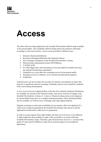

### Access

The films which are being digitized by the Swedish Film Institute shall be made available to the general public. The availability shall be lasting and not be limited to individual screenings or short-term releases. Access can be provided in different ways:

- 1. Domestic theatrical distribution
- 2. Research at Kungliga biblioteket [the National Library]
- 3. Free-of-charge consultation in the Swedish Film Institute's Library
- 4. Physical home entertainment release (DVD/Bluray)
- 5. T-VOD/S-VOD
- 6. SvT Play/Öppet arkiv [free streaming services provided by Swedish television, the national broadcasting corporation]
- 7. Filmarkivet.se or any other free streaming service for the general public
- 8. Streaming services to libraries, or for research and educational purposes
- 9. Exhibitions

Limited access can also be taken into account; for instance, presentations at major film festivals or significant archival screenings. Preferably such an event should be combined with a more lasting dissemination.

A basic level of access to digitized films is that they have domestic theatrical distribution, are available for research at the National Library, and can be seen free-of-charge in the Swedish Film Institute's Library (1-3, above). Theatrical release must not be hampered by unreasonable license fees or a complex booking procedure. Films should preferably also be available via VOD services or through some other digital platform.

Singular screenings or short-term availability do not warrant a film to be digitized. If a wider access cannot be guaranteed, the Swedish Film Institute may choose to put the digitization on hold until a wider access is guaranteed.

In order to accept requests from rights holders, the basic level of access is not sufficient. A rights holder has the possibility to make a film accessible to an extent which the Swedish Film Institute cannot. Therefore, apart from the basic level of 1-3, several of the points 4-9 must also be fulfilled, in order for an external request to be included for digitization.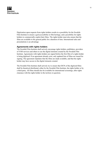

Digitization upon requests from rights holders results in a possibility for the Swedish Film Institute to ensure a god accessibility to film heritage, and a possibility for rights holders to commercially exploit their films. The rights holder must also ensure that the films are available to the general public for a duration of time. International sales and presentations is an advantage.

#### Agreements with rights holders

The Swedish Film Institute shall actively encourage rights holders, publishers, providers of VOD services and others to use the digital elements created by the Swedish Film Institute. Agreements with rights holders are signed before the first film of a rights holder is being digitized. If an agreement already exist, only updated lists of films are issued for signing. The agreement stipulates that the films are made available, and that the rights holder may have access to the digital elements created.

The Swedish Film Institute shall actively try to ensure that DCPs of the digitized films shall be theatrical distributed, either by the Swedish Film Institute, the rights holder or by a third party. All films should also be available for international screenings, after rights clearance with the rights holder in the territory in question.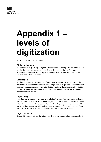

# Appendix 1 – levels of digitization

There are five levels of digitization:

#### Digital adjustment

A Swedish film may already be digitized by another archive or by a private entity, but not existing in a theatrical screening format. Rather than re-digitizing the film, already existing digital elements shall be deposited with the Swedish Film Institute and then adjusted for theatrical screening.

#### **Digitization**

The long-term analogue preservation of a film may be endangered, for instance by the onset of deterioration of the elements. Even though the film in question does not meet the basic access requirements, the element is digitized and then digitally archived, so that the film can be restored at some point in the future. This could include for instance nitrate or magnetic sound elements.

#### Digital copy

Less time and resources are spent on removal of defects, sound sync etc, compared to the restoration levels described below. Films subject to this lower level of treatment are those where the source element is of such bad quality that a higher level of restoration would not be possible without investing a disproportionate amount of time and resources. Often this is the case when the source and reference element are one and the same.

#### Digital restoration

The most frequent level, and the entire work-flow of digitization is based upon this level.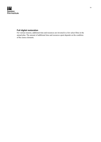

#### Full digital restoration

For various reasons, additional time and resources are invested in a few select films in the annual plan. The amount of additional time and resources spent depends on the condition of the source elements.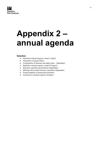

### Appendix 2 – annual agenda

#### Selection

- Dead-line external requests, round 1 (April)
- Allocations of quotas (May)
- Confirmation of elements and rights (June September)
- Dead-line external requests, round 2 (August)
- Selection committee presentations (September)
- Meeting with external advisory committee (September)
- Formal adoption of annual plan (October)
- Feed-back to external requests (October)